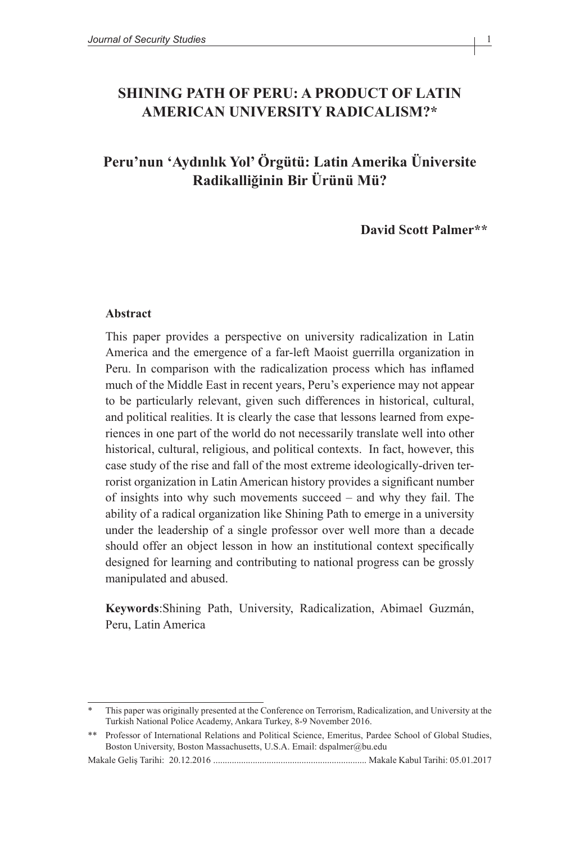## **SHINING PATH OF PERU: A PRODUCT OF LATIN AMERICAN UNIVERSITY RADICALISM?\***

# **Peru'nun 'Aydınlık Yol' Örgütü: Latin Amerika Üniversite Radikalliğinin Bir Ürünü Mü?**

**David Scott Palmer\*\***

#### **Abstract**

This paper provides a perspective on university radicalization in Latin America and the emergence of a far-left Maoist guerrilla organization in Peru. In comparison with the radicalization process which has inflamed much of the Middle East in recent years, Peru's experience may not appear to be particularly relevant, given such differences in historical, cultural, and political realities. It is clearly the case that lessons learned from experiences in one part of the world do not necessarily translate well into other historical, cultural, religious, and political contexts. In fact, however, this case study of the rise and fall of the most extreme ideologically-driven terrorist organization in Latin American history provides a significant number of insights into why such movements succeed – and why they fail. The ability of a radical organization like Shining Path to emerge in a university under the leadership of a single professor over well more than a decade should offer an object lesson in how an institutional context specifically designed for learning and contributing to national progress can be grossly manipulated and abused.

**Keywords**:Shining Path, University, Radicalization, Abimael Guzmán, Peru, Latin America

This paper was originally presented at the Conference on Terrorism, Radicalization, and University at the Turkish National Police Academy, Ankara Turkey, 8-9 November 2016.

<sup>\*\*</sup> Professor of International Relations and Political Science, Emeritus, Pardee School of Global Studies, Boston University, Boston Massachusetts, U.S.A. Email: dspalmer@bu.edu

Makale Geliş Tarihi: 20.12.2016 .................................................................. Makale Kabul Tarihi: 05.01.2017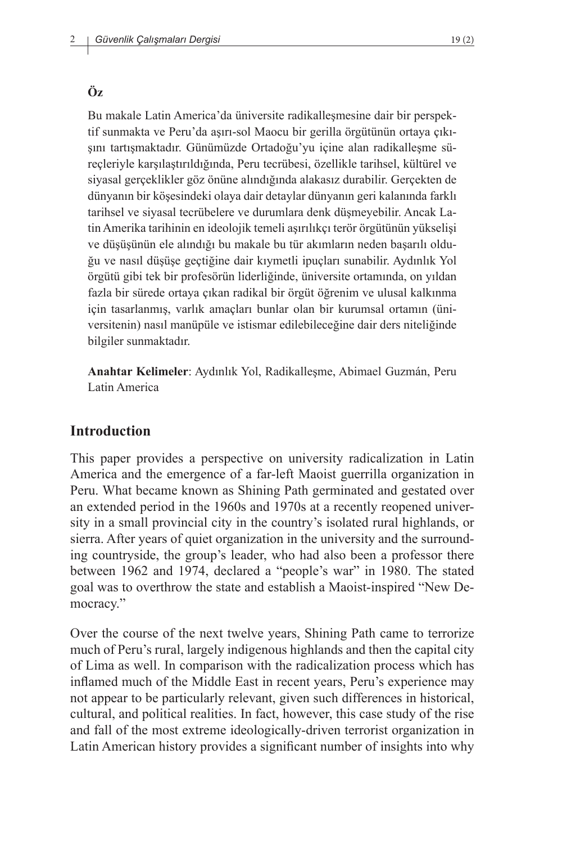#### **Öz**

Bu makale Latin America'da üniversite radikalleşmesine dair bir perspektif sunmakta ve Peru'da aşırı-sol Maocu bir gerilla örgütünün ortaya çıkışını tartışmaktadır. Günümüzde Ortadoğu'yu içine alan radikalleşme süreçleriyle karşılaştırıldığında, Peru tecrübesi, özellikle tarihsel, kültürel ve siyasal gerçeklikler göz önüne alındığında alakasız durabilir. Gerçekten de dünyanın bir köşesindeki olaya dair detaylar dünyanın geri kalanında farklı tarihsel ve siyasal tecrübelere ve durumlara denk düşmeyebilir. Ancak Latin Amerika tarihinin en ideolojik temeli aşırılıkçı terör örgütünün yükselişi ve düşüşünün ele alındığı bu makale bu tür akımların neden başarılı olduğu ve nasıl düşüşe geçtiğine dair kıymetli ipuçları sunabilir. Aydınlık Yol örgütü gibi tek bir profesörün liderliğinde, üniversite ortamında, on yıldan fazla bir sürede ortaya çıkan radikal bir örgüt öğrenim ve ulusal kalkınma için tasarlanmış, varlık amaçları bunlar olan bir kurumsal ortamın (üniversitenin) nasıl manüpüle ve istismar edilebileceğine dair ders niteliğinde bilgiler sunmaktadır.

**Anahtar Kelimeler**: Aydınlık Yol, Radikalleşme, Abimael Guzmán, Peru Latin America

#### **Introduction**

This paper provides a perspective on university radicalization in Latin America and the emergence of a far-left Maoist guerrilla organization in Peru. What became known as Shining Path germinated and gestated over an extended period in the 1960s and 1970s at a recently reopened university in a small provincial city in the country's isolated rural highlands, or sierra. After years of quiet organization in the university and the surrounding countryside, the group's leader, who had also been a professor there between 1962 and 1974, declared a "people's war" in 1980. The stated goal was to overthrow the state and establish a Maoist-inspired "New Democracy."

Over the course of the next twelve years, Shining Path came to terrorize much of Peru's rural, largely indigenous highlands and then the capital city of Lima as well. In comparison with the radicalization process which has inflamed much of the Middle East in recent years, Peru's experience may not appear to be particularly relevant, given such differences in historical, cultural, and political realities. In fact, however, this case study of the rise and fall of the most extreme ideologically-driven terrorist organization in Latin American history provides a significant number of insights into why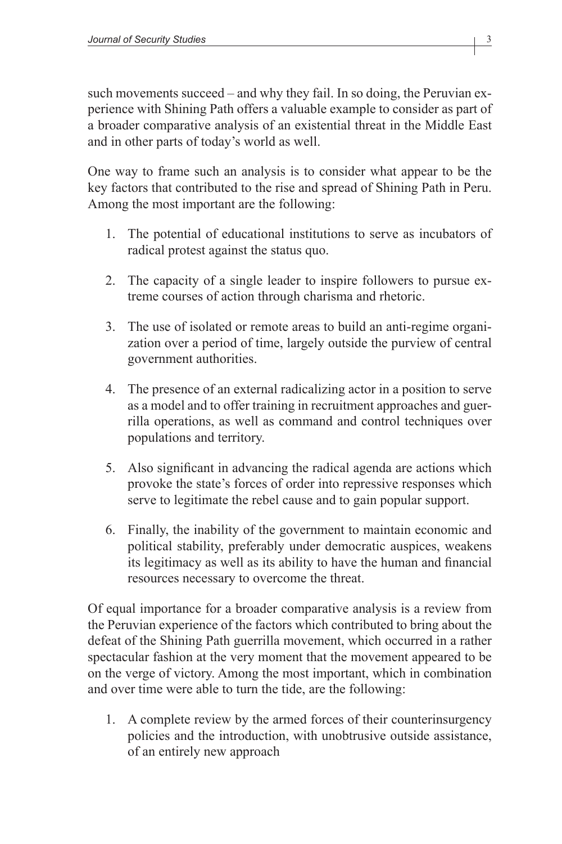such movements succeed – and why they fail. In so doing, the Peruvian experience with Shining Path offers a valuable example to consider as part of a broader comparative analysis of an existential threat in the Middle East and in other parts of today's world as well.

One way to frame such an analysis is to consider what appear to be the key factors that contributed to the rise and spread of Shining Path in Peru. Among the most important are the following:

- 1. The potential of educational institutions to serve as incubators of radical protest against the status quo.
- 2. The capacity of a single leader to inspire followers to pursue extreme courses of action through charisma and rhetoric.
- 3. The use of isolated or remote areas to build an anti-regime organization over a period of time, largely outside the purview of central government authorities.
- 4. The presence of an external radicalizing actor in a position to serve as a model and to offer training in recruitment approaches and guerrilla operations, as well as command and control techniques over populations and territory.
- 5. Also significant in advancing the radical agenda are actions which provoke the state's forces of order into repressive responses which serve to legitimate the rebel cause and to gain popular support.
- 6. Finally, the inability of the government to maintain economic and political stability, preferably under democratic auspices, weakens its legitimacy as well as its ability to have the human and financial resources necessary to overcome the threat.

Of equal importance for a broader comparative analysis is a review from the Peruvian experience of the factors which contributed to bring about the defeat of the Shining Path guerrilla movement, which occurred in a rather spectacular fashion at the very moment that the movement appeared to be on the verge of victory. Among the most important, which in combination and over time were able to turn the tide, are the following:

1. A complete review by the armed forces of their counterinsurgency policies and the introduction, with unobtrusive outside assistance, of an entirely new approach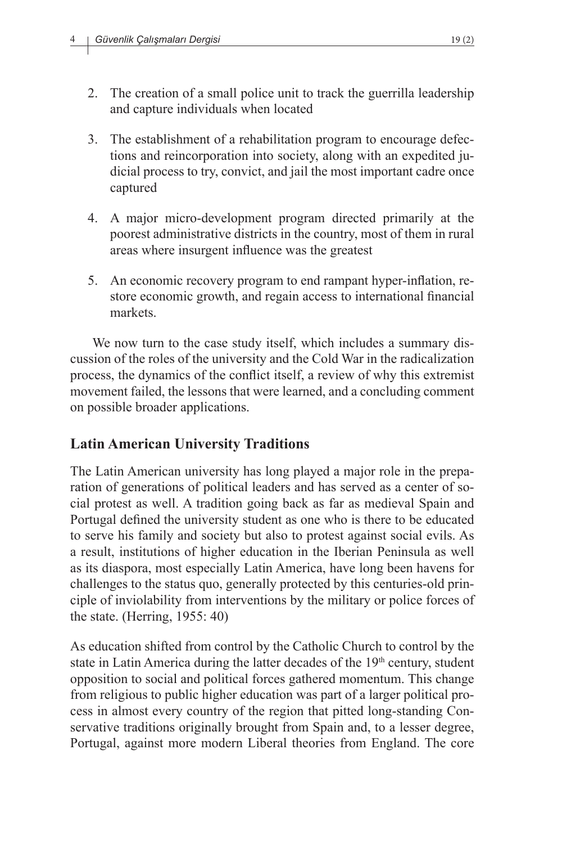- 2. The creation of a small police unit to track the guerrilla leadership and capture individuals when located
- 3. The establishment of a rehabilitation program to encourage defections and reincorporation into society, along with an expedited judicial process to try, convict, and jail the most important cadre once captured
- 4. A major micro-development program directed primarily at the poorest administrative districts in the country, most of them in rural areas where insurgent influence was the greatest
- 5. An economic recovery program to end rampant hyper-inflation, restore economic growth, and regain access to international financial markets.

We now turn to the case study itself, which includes a summary discussion of the roles of the university and the Cold War in the radicalization process, the dynamics of the conflict itself, a review of why this extremist movement failed, the lessons that were learned, and a concluding comment on possible broader applications.

### **Latin American University Traditions**

The Latin American university has long played a major role in the preparation of generations of political leaders and has served as a center of social protest as well. A tradition going back as far as medieval Spain and Portugal defined the university student as one who is there to be educated to serve his family and society but also to protest against social evils. As a result, institutions of higher education in the Iberian Peninsula as well as its diaspora, most especially Latin America, have long been havens for challenges to the status quo, generally protected by this centuries-old principle of inviolability from interventions by the military or police forces of the state. (Herring, 1955: 40)

As education shifted from control by the Catholic Church to control by the state in Latin America during the latter decades of the 19<sup>th</sup> century, student opposition to social and political forces gathered momentum. This change from religious to public higher education was part of a larger political process in almost every country of the region that pitted long-standing Conservative traditions originally brought from Spain and, to a lesser degree, Portugal, against more modern Liberal theories from England. The core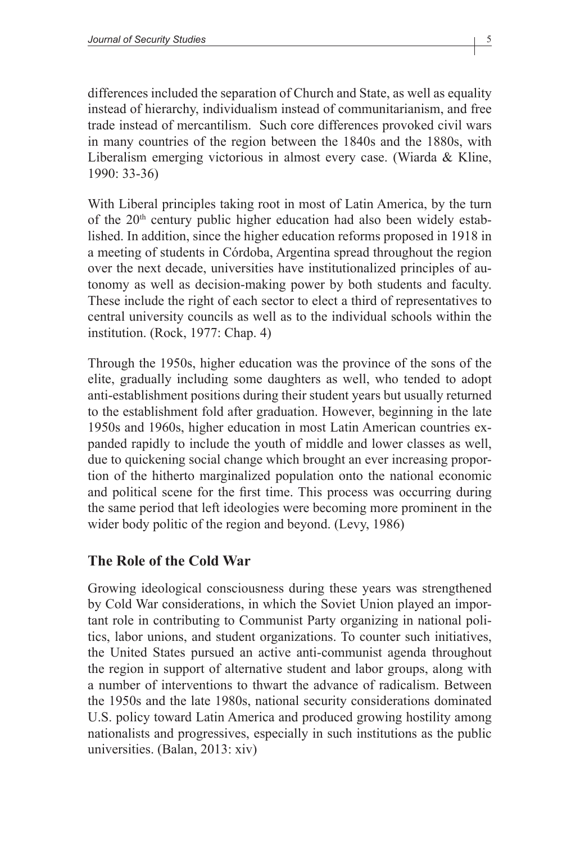differences included the separation of Church and State, as well as equality instead of hierarchy, individualism instead of communitarianism, and free trade instead of mercantilism. Such core differences provoked civil wars in many countries of the region between the 1840s and the 1880s, with Liberalism emerging victorious in almost every case. (Wiarda & Kline, 1990: 33-36)

With Liberal principles taking root in most of Latin America, by the turn of the 20th century public higher education had also been widely established. In addition, since the higher education reforms proposed in 1918 in a meeting of students in Córdoba, Argentina spread throughout the region over the next decade, universities have institutionalized principles of autonomy as well as decision-making power by both students and faculty. These include the right of each sector to elect a third of representatives to central university councils as well as to the individual schools within the institution. (Rock, 1977: Chap. 4)

Through the 1950s, higher education was the province of the sons of the elite, gradually including some daughters as well, who tended to adopt anti-establishment positions during their student years but usually returned to the establishment fold after graduation. However, beginning in the late 1950s and 1960s, higher education in most Latin American countries expanded rapidly to include the youth of middle and lower classes as well, due to quickening social change which brought an ever increasing proportion of the hitherto marginalized population onto the national economic and political scene for the first time. This process was occurring during the same period that left ideologies were becoming more prominent in the wider body politic of the region and beyond. (Levy, 1986)

### **The Role of the Cold War**

Growing ideological consciousness during these years was strengthened by Cold War considerations, in which the Soviet Union played an important role in contributing to Communist Party organizing in national politics, labor unions, and student organizations. To counter such initiatives, the United States pursued an active anti-communist agenda throughout the region in support of alternative student and labor groups, along with a number of interventions to thwart the advance of radicalism. Between the 1950s and the late 1980s, national security considerations dominated U.S. policy toward Latin America and produced growing hostility among nationalists and progressives, especially in such institutions as the public universities. (Balan, 2013: xiv)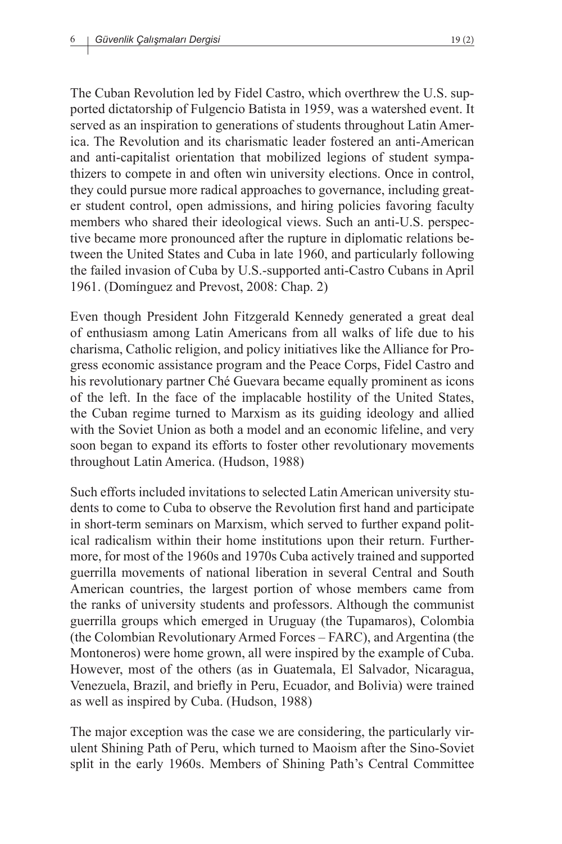The Cuban Revolution led by Fidel Castro, which overthrew the U.S. supported dictatorship of Fulgencio Batista in 1959, was a watershed event. It served as an inspiration to generations of students throughout Latin America. The Revolution and its charismatic leader fostered an anti-American and anti-capitalist orientation that mobilized legions of student sympathizers to compete in and often win university elections. Once in control, they could pursue more radical approaches to governance, including greater student control, open admissions, and hiring policies favoring faculty members who shared their ideological views. Such an anti-U.S. perspective became more pronounced after the rupture in diplomatic relations between the United States and Cuba in late 1960, and particularly following the failed invasion of Cuba by U.S.-supported anti-Castro Cubans in April 1961. (Domínguez and Prevost, 2008: Chap. 2)

Even though President John Fitzgerald Kennedy generated a great deal of enthusiasm among Latin Americans from all walks of life due to his charisma, Catholic religion, and policy initiatives like the Alliance for Progress economic assistance program and the Peace Corps, Fidel Castro and his revolutionary partner Ché Guevara became equally prominent as icons of the left. In the face of the implacable hostility of the United States, the Cuban regime turned to Marxism as its guiding ideology and allied with the Soviet Union as both a model and an economic lifeline, and very soon began to expand its efforts to foster other revolutionary movements throughout Latin America. (Hudson, 1988)

Such efforts included invitations to selected Latin American university students to come to Cuba to observe the Revolution first hand and participate in short-term seminars on Marxism, which served to further expand political radicalism within their home institutions upon their return. Furthermore, for most of the 1960s and 1970s Cuba actively trained and supported guerrilla movements of national liberation in several Central and South American countries, the largest portion of whose members came from the ranks of university students and professors. Although the communist guerrilla groups which emerged in Uruguay (the Tupamaros), Colombia (the Colombian Revolutionary Armed Forces – FARC), and Argentina (the Montoneros) were home grown, all were inspired by the example of Cuba. However, most of the others (as in Guatemala, El Salvador, Nicaragua, Venezuela, Brazil, and briefly in Peru, Ecuador, and Bolivia) were trained as well as inspired by Cuba. (Hudson, 1988)

The major exception was the case we are considering, the particularly virulent Shining Path of Peru, which turned to Maoism after the Sino-Soviet split in the early 1960s. Members of Shining Path's Central Committee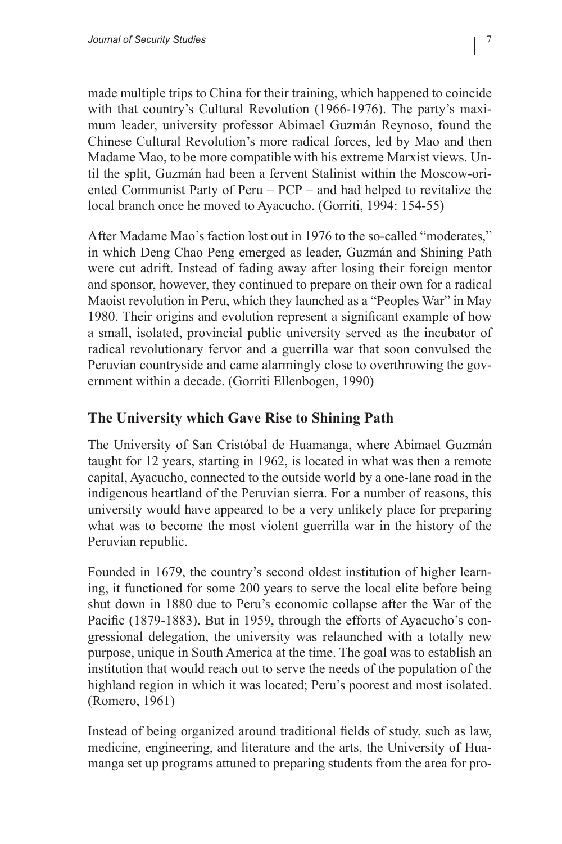made multiple trips to China for their training, which happened to coincide with that country's Cultural Revolution (1966-1976). The party's maximum leader, university professor Abimael Guzmán Reynoso, found the Chinese Cultural Revolution's more radical forces, led by Mao and then Madame Mao, to be more compatible with his extreme Marxist views. Until the split, Guzmán had been a fervent Stalinist within the Moscow-oriented Communist Party of Peru – PCP – and had helped to revitalize the local branch once he moved to Ayacucho. (Gorriti, 1994: 154-55)

After Madame Mao's faction lost out in 1976 to the so-called "moderates," in which Deng Chao Peng emerged as leader, Guzmán and Shining Path were cut adrift. Instead of fading away after losing their foreign mentor and sponsor, however, they continued to prepare on their own for a radical Maoist revolution in Peru, which they launched as a "Peoples War" in May 1980. Their origins and evolution represent a significant example of how a small, isolated, provincial public university served as the incubator of radical revolutionary fervor and a guerrilla war that soon convulsed the Peruvian countryside and came alarmingly close to overthrowing the government within a decade. (Gorriti Ellenbogen, 1990)

### **The University which Gave Rise to Shining Path**

The University of San Cristóbal de Huamanga, where Abimael Guzmán taught for 12 years, starting in 1962, is located in what was then a remote capital, Ayacucho, connected to the outside world by a one-lane road in the indigenous heartland of the Peruvian sierra. For a number of reasons, this university would have appeared to be a very unlikely place for preparing what was to become the most violent guerrilla war in the history of the Peruvian republic.

Founded in 1679, the country's second oldest institution of higher learning, it functioned for some 200 years to serve the local elite before being shut down in 1880 due to Peru's economic collapse after the War of the Pacific (1879-1883). But in 1959, through the efforts of Ayacucho's congressional delegation, the university was relaunched with a totally new purpose, unique in South America at the time. The goal was to establish an institution that would reach out to serve the needs of the population of the highland region in which it was located; Peru's poorest and most isolated. (Romero, 1961)

Instead of being organized around traditional fields of study, such as law, medicine, engineering, and literature and the arts, the University of Huamanga set up programs attuned to preparing students from the area for pro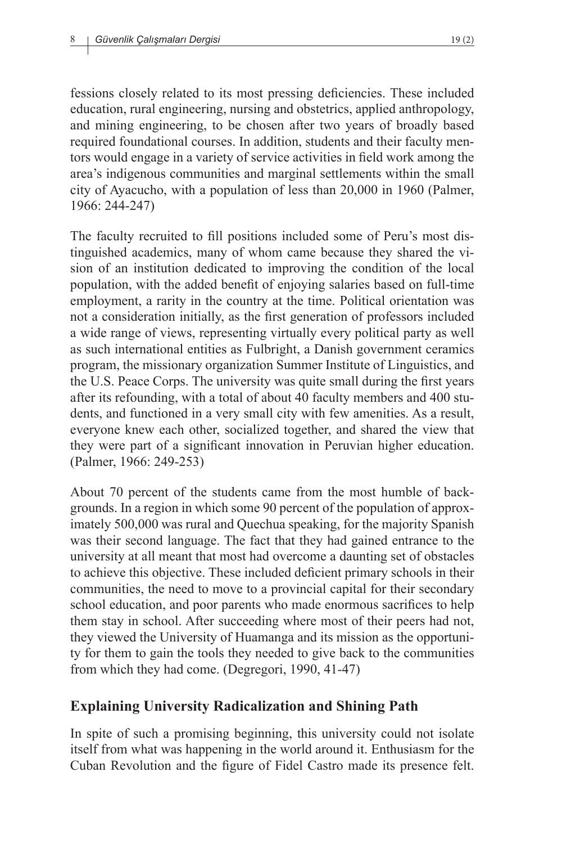fessions closely related to its most pressing deficiencies. These included education, rural engineering, nursing and obstetrics, applied anthropology, and mining engineering, to be chosen after two years of broadly based required foundational courses. In addition, students and their faculty mentors would engage in a variety of service activities in field work among the area's indigenous communities and marginal settlements within the small city of Ayacucho, with a population of less than 20,000 in 1960 (Palmer, 1966: 244-247)

The faculty recruited to fill positions included some of Peru's most distinguished academics, many of whom came because they shared the vision of an institution dedicated to improving the condition of the local population, with the added benefit of enjoying salaries based on full-time employment, a rarity in the country at the time. Political orientation was not a consideration initially, as the first generation of professors included a wide range of views, representing virtually every political party as well as such international entities as Fulbright, a Danish government ceramics program, the missionary organization Summer Institute of Linguistics, and the U.S. Peace Corps. The university was quite small during the first years after its refounding, with a total of about 40 faculty members and 400 students, and functioned in a very small city with few amenities. As a result, everyone knew each other, socialized together, and shared the view that they were part of a significant innovation in Peruvian higher education. (Palmer, 1966: 249-253)

About 70 percent of the students came from the most humble of backgrounds. In a region in which some 90 percent of the population of approximately 500,000 was rural and Quechua speaking, for the majority Spanish was their second language. The fact that they had gained entrance to the university at all meant that most had overcome a daunting set of obstacles to achieve this objective. These included deficient primary schools in their communities, the need to move to a provincial capital for their secondary school education, and poor parents who made enormous sacrifices to help them stay in school. After succeeding where most of their peers had not, they viewed the University of Huamanga and its mission as the opportunity for them to gain the tools they needed to give back to the communities from which they had come. (Degregori, 1990, 41-47)

#### **Explaining University Radicalization and Shining Path**

In spite of such a promising beginning, this university could not isolate itself from what was happening in the world around it. Enthusiasm for the Cuban Revolution and the figure of Fidel Castro made its presence felt.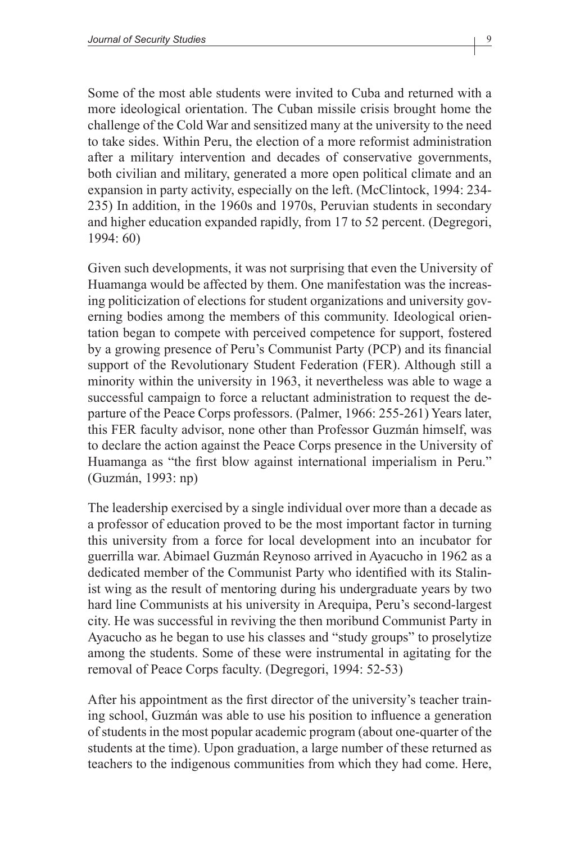Some of the most able students were invited to Cuba and returned with a more ideological orientation. The Cuban missile crisis brought home the challenge of the Cold War and sensitized many at the university to the need to take sides. Within Peru, the election of a more reformist administration after a military intervention and decades of conservative governments, both civilian and military, generated a more open political climate and an expansion in party activity, especially on the left. (McClintock, 1994: 234- 235) In addition, in the 1960s and 1970s, Peruvian students in secondary and higher education expanded rapidly, from 17 to 52 percent. (Degregori, 1994: 60)

Given such developments, it was not surprising that even the University of Huamanga would be affected by them. One manifestation was the increasing politicization of elections for student organizations and university governing bodies among the members of this community. Ideological orientation began to compete with perceived competence for support, fostered by a growing presence of Peru's Communist Party (PCP) and its financial support of the Revolutionary Student Federation (FER). Although still a minority within the university in 1963, it nevertheless was able to wage a successful campaign to force a reluctant administration to request the departure of the Peace Corps professors. (Palmer, 1966: 255-261) Years later, this FER faculty advisor, none other than Professor Guzmán himself, was to declare the action against the Peace Corps presence in the University of Huamanga as "the first blow against international imperialism in Peru." (Guzmán, 1993: np)

The leadership exercised by a single individual over more than a decade as a professor of education proved to be the most important factor in turning this university from a force for local development into an incubator for guerrilla war. Abimael Guzmán Reynoso arrived in Ayacucho in 1962 as a dedicated member of the Communist Party who identified with its Stalinist wing as the result of mentoring during his undergraduate years by two hard line Communists at his university in Arequipa, Peru's second-largest city. He was successful in reviving the then moribund Communist Party in Ayacucho as he began to use his classes and "study groups" to proselytize among the students. Some of these were instrumental in agitating for the removal of Peace Corps faculty. (Degregori, 1994: 52-53)

After his appointment as the first director of the university's teacher training school, Guzmán was able to use his position to influence a generation of students in the most popular academic program (about one-quarter of the students at the time). Upon graduation, a large number of these returned as teachers to the indigenous communities from which they had come. Here,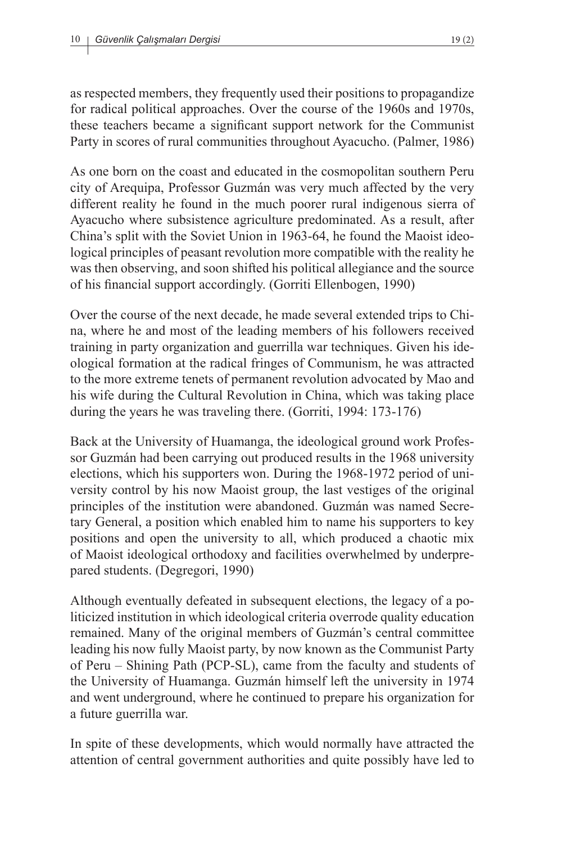as respected members, they frequently used their positions to propagandize for radical political approaches. Over the course of the 1960s and 1970s, these teachers became a significant support network for the Communist Party in scores of rural communities throughout Ayacucho. (Palmer, 1986)

As one born on the coast and educated in the cosmopolitan southern Peru city of Arequipa, Professor Guzmán was very much affected by the very different reality he found in the much poorer rural indigenous sierra of Ayacucho where subsistence agriculture predominated. As a result, after China's split with the Soviet Union in 1963-64, he found the Maoist ideological principles of peasant revolution more compatible with the reality he was then observing, and soon shifted his political allegiance and the source of his financial support accordingly. (Gorriti Ellenbogen, 1990)

Over the course of the next decade, he made several extended trips to China, where he and most of the leading members of his followers received training in party organization and guerrilla war techniques. Given his ideological formation at the radical fringes of Communism, he was attracted to the more extreme tenets of permanent revolution advocated by Mao and his wife during the Cultural Revolution in China, which was taking place during the years he was traveling there. (Gorriti, 1994: 173-176)

Back at the University of Huamanga, the ideological ground work Professor Guzmán had been carrying out produced results in the 1968 university elections, which his supporters won. During the 1968-1972 period of university control by his now Maoist group, the last vestiges of the original principles of the institution were abandoned. Guzmán was named Secretary General, a position which enabled him to name his supporters to key positions and open the university to all, which produced a chaotic mix of Maoist ideological orthodoxy and facilities overwhelmed by underprepared students. (Degregori, 1990)

Although eventually defeated in subsequent elections, the legacy of a politicized institution in which ideological criteria overrode quality education remained. Many of the original members of Guzmán's central committee leading his now fully Maoist party, by now known as the Communist Party of Peru – Shining Path (PCP-SL), came from the faculty and students of the University of Huamanga. Guzmán himself left the university in 1974 and went underground, where he continued to prepare his organization for a future guerrilla war.

In spite of these developments, which would normally have attracted the attention of central government authorities and quite possibly have led to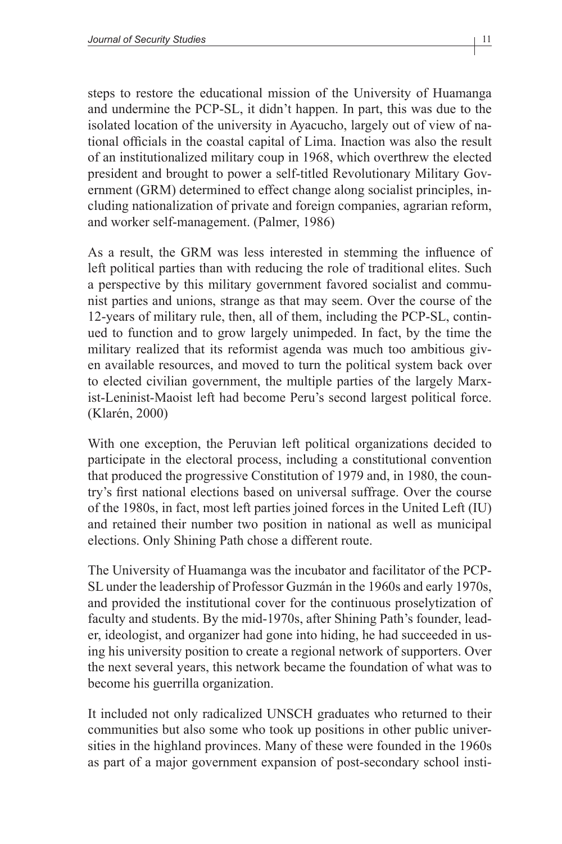steps to restore the educational mission of the University of Huamanga and undermine the PCP-SL, it didn't happen. In part, this was due to the isolated location of the university in Ayacucho, largely out of view of national officials in the coastal capital of Lima. Inaction was also the result of an institutionalized military coup in 1968, which overthrew the elected president and brought to power a self-titled Revolutionary Military Government (GRM) determined to effect change along socialist principles, including nationalization of private and foreign companies, agrarian reform, and worker self-management. (Palmer, 1986)

As a result, the GRM was less interested in stemming the influence of left political parties than with reducing the role of traditional elites. Such a perspective by this military government favored socialist and communist parties and unions, strange as that may seem. Over the course of the 12-years of military rule, then, all of them, including the PCP-SL, continued to function and to grow largely unimpeded. In fact, by the time the military realized that its reformist agenda was much too ambitious given available resources, and moved to turn the political system back over to elected civilian government, the multiple parties of the largely Marxist-Leninist-Maoist left had become Peru's second largest political force. (Klarén, 2000)

With one exception, the Peruvian left political organizations decided to participate in the electoral process, including a constitutional convention that produced the progressive Constitution of 1979 and, in 1980, the country's first national elections based on universal suffrage. Over the course of the 1980s, in fact, most left parties joined forces in the United Left (IU) and retained their number two position in national as well as municipal elections. Only Shining Path chose a different route.

The University of Huamanga was the incubator and facilitator of the PCP-SL under the leadership of Professor Guzmán in the 1960s and early 1970s, and provided the institutional cover for the continuous proselytization of faculty and students. By the mid-1970s, after Shining Path's founder, leader, ideologist, and organizer had gone into hiding, he had succeeded in using his university position to create a regional network of supporters. Over the next several years, this network became the foundation of what was to become his guerrilla organization.

It included not only radicalized UNSCH graduates who returned to their communities but also some who took up positions in other public universities in the highland provinces. Many of these were founded in the 1960s as part of a major government expansion of post-secondary school insti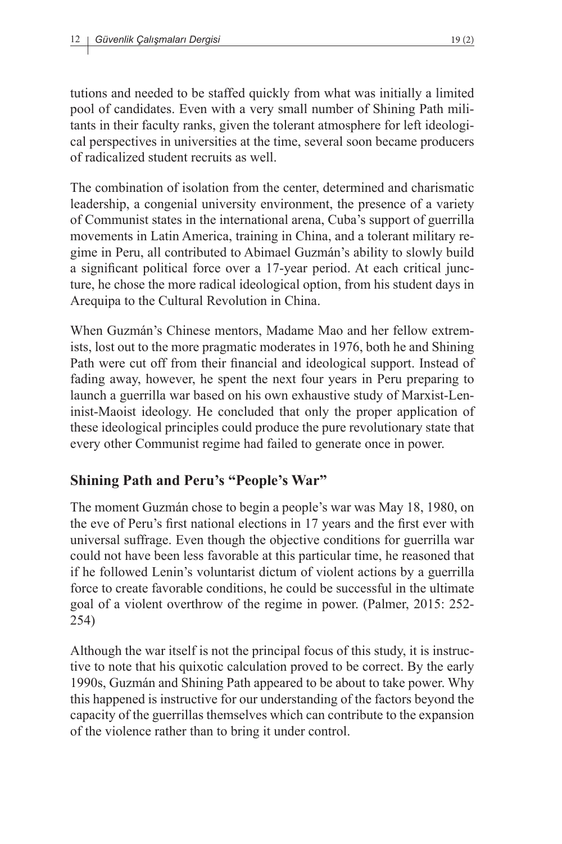tutions and needed to be staffed quickly from what was initially a limited pool of candidates. Even with a very small number of Shining Path militants in their faculty ranks, given the tolerant atmosphere for left ideological perspectives in universities at the time, several soon became producers of radicalized student recruits as well.

The combination of isolation from the center, determined and charismatic leadership, a congenial university environment, the presence of a variety of Communist states in the international arena, Cuba's support of guerrilla movements in Latin America, training in China, and a tolerant military regime in Peru, all contributed to Abimael Guzmán's ability to slowly build a significant political force over a 17-year period. At each critical juncture, he chose the more radical ideological option, from his student days in Arequipa to the Cultural Revolution in China.

When Guzmán's Chinese mentors, Madame Mao and her fellow extremists, lost out to the more pragmatic moderates in 1976, both he and Shining Path were cut off from their financial and ideological support. Instead of fading away, however, he spent the next four years in Peru preparing to launch a guerrilla war based on his own exhaustive study of Marxist-Leninist-Maoist ideology. He concluded that only the proper application of these ideological principles could produce the pure revolutionary state that every other Communist regime had failed to generate once in power.

### **Shining Path and Peru's "People's War"**

The moment Guzmán chose to begin a people's war was May 18, 1980, on the eve of Peru's first national elections in 17 years and the first ever with universal suffrage. Even though the objective conditions for guerrilla war could not have been less favorable at this particular time, he reasoned that if he followed Lenin's voluntarist dictum of violent actions by a guerrilla force to create favorable conditions, he could be successful in the ultimate goal of a violent overthrow of the regime in power. (Palmer, 2015: 252- 254)

Although the war itself is not the principal focus of this study, it is instructive to note that his quixotic calculation proved to be correct. By the early 1990s, Guzmán and Shining Path appeared to be about to take power. Why this happened is instructive for our understanding of the factors beyond the capacity of the guerrillas themselves which can contribute to the expansion of the violence rather than to bring it under control.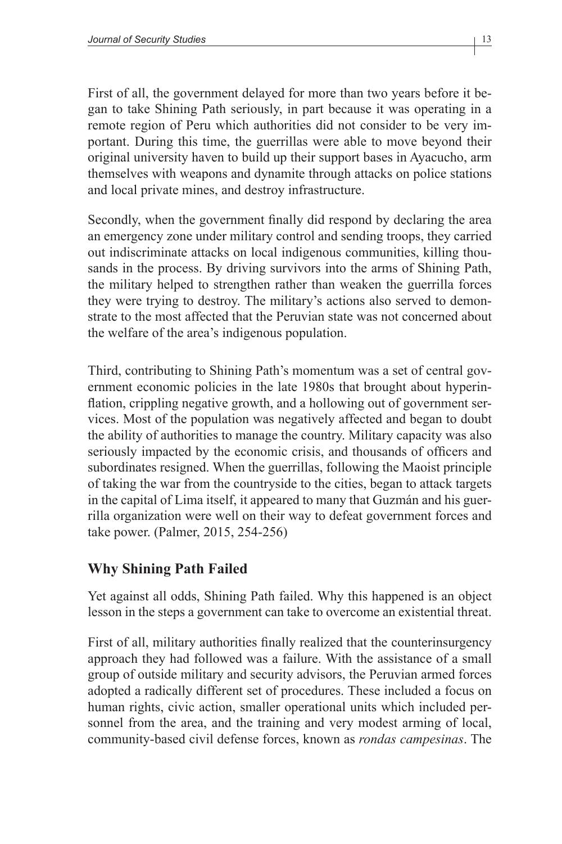First of all, the government delayed for more than two years before it began to take Shining Path seriously, in part because it was operating in a remote region of Peru which authorities did not consider to be very important. During this time, the guerrillas were able to move beyond their original university haven to build up their support bases in Ayacucho, arm themselves with weapons and dynamite through attacks on police stations and local private mines, and destroy infrastructure.

Secondly, when the government finally did respond by declaring the area an emergency zone under military control and sending troops, they carried out indiscriminate attacks on local indigenous communities, killing thousands in the process. By driving survivors into the arms of Shining Path, the military helped to strengthen rather than weaken the guerrilla forces they were trying to destroy. The military's actions also served to demonstrate to the most affected that the Peruvian state was not concerned about the welfare of the area's indigenous population.

Third, contributing to Shining Path's momentum was a set of central government economic policies in the late 1980s that brought about hyperinflation, crippling negative growth, and a hollowing out of government services. Most of the population was negatively affected and began to doubt the ability of authorities to manage the country. Military capacity was also seriously impacted by the economic crisis, and thousands of officers and subordinates resigned. When the guerrillas, following the Maoist principle of taking the war from the countryside to the cities, began to attack targets in the capital of Lima itself, it appeared to many that Guzmán and his guerrilla organization were well on their way to defeat government forces and take power. (Palmer, 2015, 254-256)

### **Why Shining Path Failed**

Yet against all odds, Shining Path failed. Why this happened is an object lesson in the steps a government can take to overcome an existential threat.

First of all, military authorities finally realized that the counterinsurgency approach they had followed was a failure. With the assistance of a small group of outside military and security advisors, the Peruvian armed forces adopted a radically different set of procedures. These included a focus on human rights, civic action, smaller operational units which included personnel from the area, and the training and very modest arming of local, community-based civil defense forces, known as *rondas campesinas*. The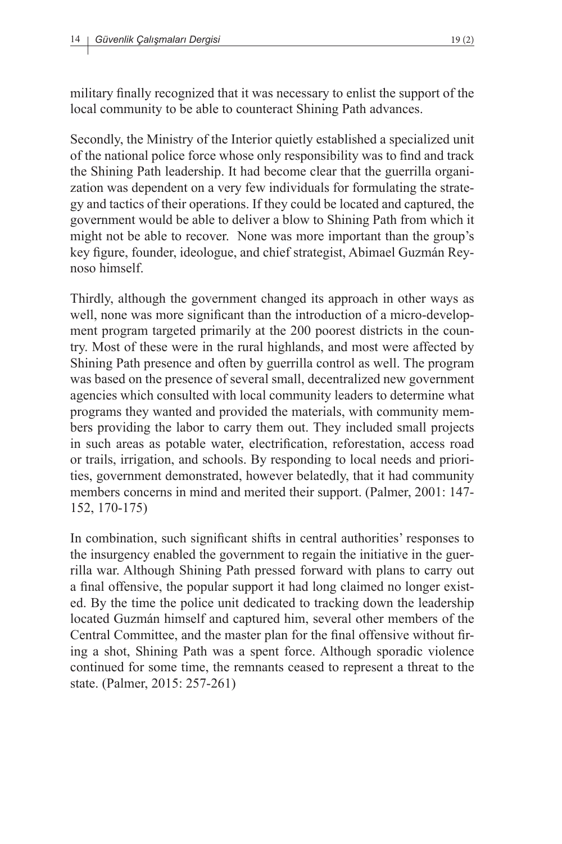military finally recognized that it was necessary to enlist the support of the local community to be able to counteract Shining Path advances.

Secondly, the Ministry of the Interior quietly established a specialized unit of the national police force whose only responsibility was to find and track the Shining Path leadership. It had become clear that the guerrilla organization was dependent on a very few individuals for formulating the strategy and tactics of their operations. If they could be located and captured, the government would be able to deliver a blow to Shining Path from which it might not be able to recover. None was more important than the group's key figure, founder, ideologue, and chief strategist, Abimael Guzmán Reynoso himself.

Thirdly, although the government changed its approach in other ways as well, none was more significant than the introduction of a micro-development program targeted primarily at the 200 poorest districts in the country. Most of these were in the rural highlands, and most were affected by Shining Path presence and often by guerrilla control as well. The program was based on the presence of several small, decentralized new government agencies which consulted with local community leaders to determine what programs they wanted and provided the materials, with community members providing the labor to carry them out. They included small projects in such areas as potable water, electrification, reforestation, access road or trails, irrigation, and schools. By responding to local needs and priorities, government demonstrated, however belatedly, that it had community members concerns in mind and merited their support. (Palmer, 2001: 147- 152, 170-175)

In combination, such significant shifts in central authorities' responses to the insurgency enabled the government to regain the initiative in the guerrilla war. Although Shining Path pressed forward with plans to carry out a final offensive, the popular support it had long claimed no longer existed. By the time the police unit dedicated to tracking down the leadership located Guzmán himself and captured him, several other members of the Central Committee, and the master plan for the final offensive without firing a shot, Shining Path was a spent force. Although sporadic violence continued for some time, the remnants ceased to represent a threat to the state. (Palmer, 2015: 257-261)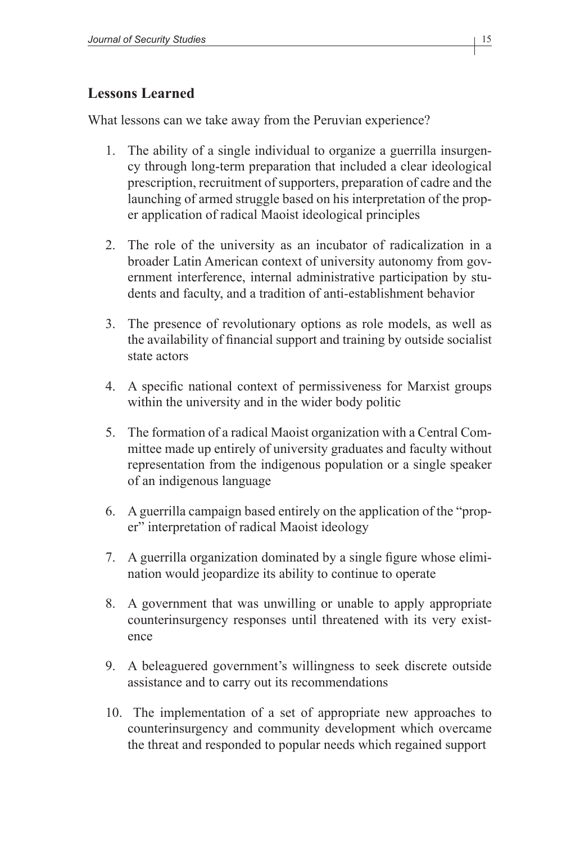#### **Lessons Learned**

What lessons can we take away from the Peruvian experience?

- 1. The ability of a single individual to organize a guerrilla insurgency through long-term preparation that included a clear ideological prescription, recruitment of supporters, preparation of cadre and the launching of armed struggle based on his interpretation of the proper application of radical Maoist ideological principles
- 2. The role of the university as an incubator of radicalization in a broader Latin American context of university autonomy from government interference, internal administrative participation by students and faculty, and a tradition of anti-establishment behavior
- 3. The presence of revolutionary options as role models, as well as the availability of financial support and training by outside socialist state actors
- 4. A specific national context of permissiveness for Marxist groups within the university and in the wider body politic
- 5. The formation of a radical Maoist organization with a Central Committee made up entirely of university graduates and faculty without representation from the indigenous population or a single speaker of an indigenous language
- 6. A guerrilla campaign based entirely on the application of the "proper" interpretation of radical Maoist ideology
- 7. A guerrilla organization dominated by a single figure whose elimination would jeopardize its ability to continue to operate
- 8. A government that was unwilling or unable to apply appropriate counterinsurgency responses until threatened with its very existence
- 9. A beleaguered government's willingness to seek discrete outside assistance and to carry out its recommendations
- 10. The implementation of a set of appropriate new approaches to counterinsurgency and community development which overcame the threat and responded to popular needs which regained support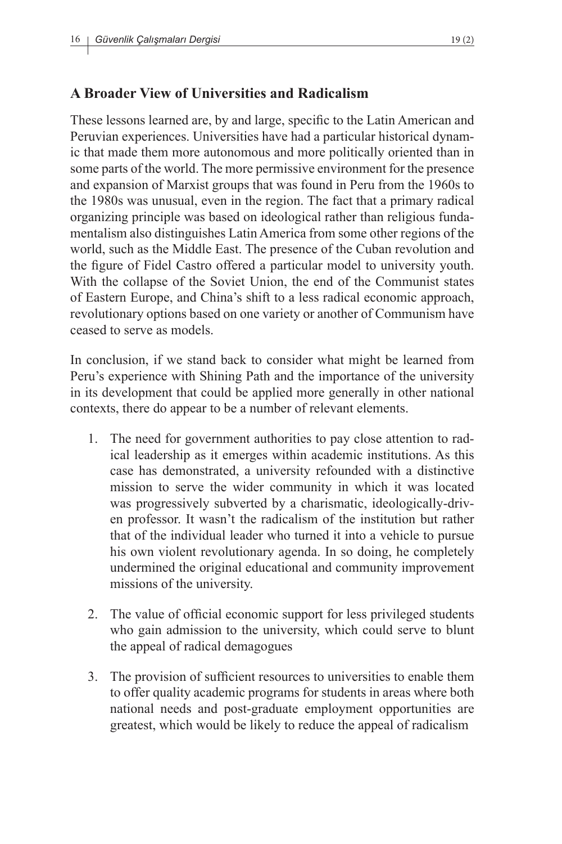## **A Broader View of Universities and Radicalism**

These lessons learned are, by and large, specific to the Latin American and Peruvian experiences. Universities have had a particular historical dynamic that made them more autonomous and more politically oriented than in some parts of the world. The more permissive environment for the presence and expansion of Marxist groups that was found in Peru from the 1960s to the 1980s was unusual, even in the region. The fact that a primary radical organizing principle was based on ideological rather than religious fundamentalism also distinguishes Latin America from some other regions of the world, such as the Middle East. The presence of the Cuban revolution and the figure of Fidel Castro offered a particular model to university youth. With the collapse of the Soviet Union, the end of the Communist states of Eastern Europe, and China's shift to a less radical economic approach, revolutionary options based on one variety or another of Communism have ceased to serve as models.

In conclusion, if we stand back to consider what might be learned from Peru's experience with Shining Path and the importance of the university in its development that could be applied more generally in other national contexts, there do appear to be a number of relevant elements.

- 1. The need for government authorities to pay close attention to radical leadership as it emerges within academic institutions. As this case has demonstrated, a university refounded with a distinctive mission to serve the wider community in which it was located was progressively subverted by a charismatic, ideologically-driven professor. It wasn't the radicalism of the institution but rather that of the individual leader who turned it into a vehicle to pursue his own violent revolutionary agenda. In so doing, he completely undermined the original educational and community improvement missions of the university.
- 2. The value of official economic support for less privileged students who gain admission to the university, which could serve to blunt the appeal of radical demagogues
- 3. The provision of sufficient resources to universities to enable them to offer quality academic programs for students in areas where both national needs and post-graduate employment opportunities are greatest, which would be likely to reduce the appeal of radicalism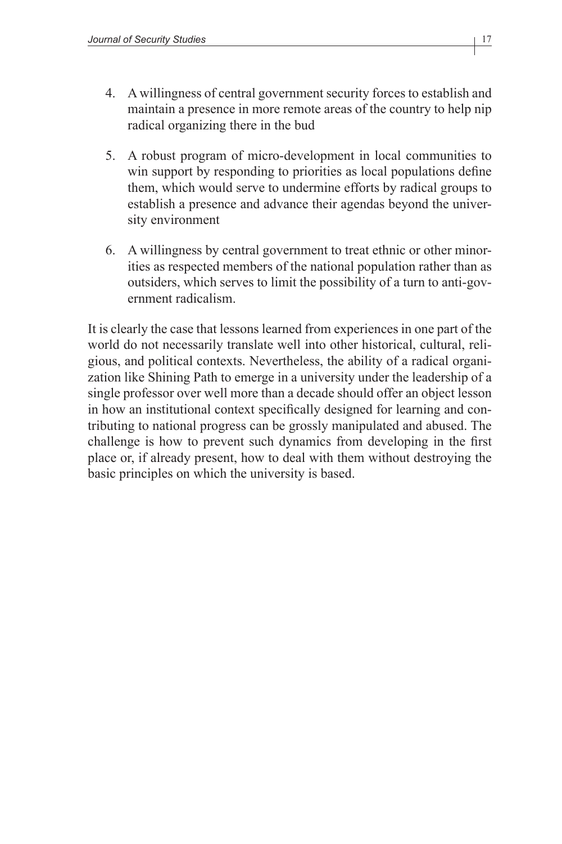- 4. A willingness of central government security forces to establish and maintain a presence in more remote areas of the country to help nip radical organizing there in the bud
- 5. A robust program of micro-development in local communities to win support by responding to priorities as local populations define them, which would serve to undermine efforts by radical groups to establish a presence and advance their agendas beyond the university environment
- 6. A willingness by central government to treat ethnic or other minorities as respected members of the national population rather than as outsiders, which serves to limit the possibility of a turn to anti-government radicalism.

It is clearly the case that lessons learned from experiences in one part of the world do not necessarily translate well into other historical, cultural, religious, and political contexts. Nevertheless, the ability of a radical organization like Shining Path to emerge in a university under the leadership of a single professor over well more than a decade should offer an object lesson in how an institutional context specifically designed for learning and contributing to national progress can be grossly manipulated and abused. The challenge is how to prevent such dynamics from developing in the first place or, if already present, how to deal with them without destroying the basic principles on which the university is based.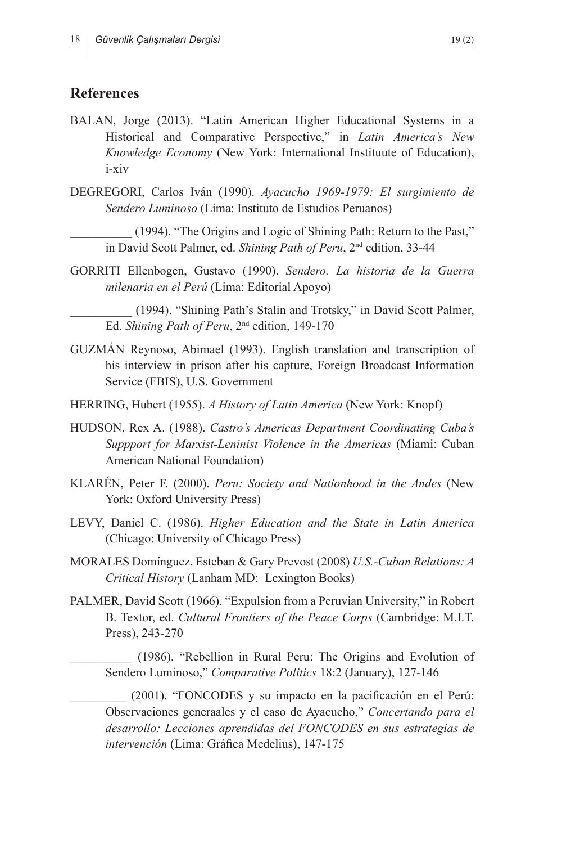#### **References**

- BALAN, Jorge (2013). "Latin American Higher Educational Systems in a Historical and Comparative Perspective," in *Latin America's New Knowledge Economy* (New York: International Instituute of Education), i-xiv
- DEGREGORI, Carlos Iván (1990). *Ayacucho 1969-1979: El surgimiento de Sendero Luminoso* (Lima: Instituto de Estudios Peruanos)

\_\_\_\_\_\_\_\_\_\_ (1994). "The Origins and Logic of Shining Path: Return to the Past," in David Scott Palmer, ed. *Shining Path of Peru*, 2nd edition, 33-44

GORRITI Ellenbogen, Gustavo (1990). *Sendero. La historia de la Guerra milenaria en el Perú* (Lima: Editorial Apoyo)

\_\_\_\_\_\_\_\_\_\_ (1994). "Shining Path's Stalin and Trotsky," in David Scott Palmer, Ed. *Shining Path of Peru*, 2nd edition, 149-170

- GUZMÁN Reynoso, Abimael (1993). English translation and transcription of his interview in prison after his capture, Foreign Broadcast Information Service (FBIS), U.S. Government
- HERRING, Hubert (1955). *A History of Latin America* (New York: Knopf)
- HUDSON, Rex A. (1988). *Castro's Americas Department Coordinating Cuba's Suppport for Marxist-Leninist Violence in the Americas* (Miami: Cuban American National Foundation)
- KLARÉN, Peter F. (2000). *Peru: Society and Nationhood in the Andes* (New York: Oxford University Press)
- LEVY, Daniel C. (1986). *Higher Education and the State in Latin America* (Chicago: University of Chicago Press)
- MORALES Domínguez, Esteban & Gary Prevost (2008) *U.S.-Cuban Relations: A Critical History* (Lanham MD: Lexington Books)
- PALMER, David Scott (1966). "Expulsion from a Peruvian University," in Robert B. Textor, ed. *Cultural Frontiers of the Peace Corps* (Cambridge: M.I.T. Press), 243-270

\_\_\_\_\_\_\_\_\_\_ (1986). "Rebellion in Rural Peru: The Origins and Evolution of Sendero Luminoso," *Comparative Politics* 18:2 (January), 127-146

\_\_\_\_\_\_\_\_\_ (2001). "FONCODES y su impacto en la pacificación en el Perú: Observaciones generaales y el caso de Ayacucho," *Concertando para el desarrollo: Lecciones aprendidas del FONCODES en sus estrategias de intervención* (Lima: Gráfica Medelius), 147-175